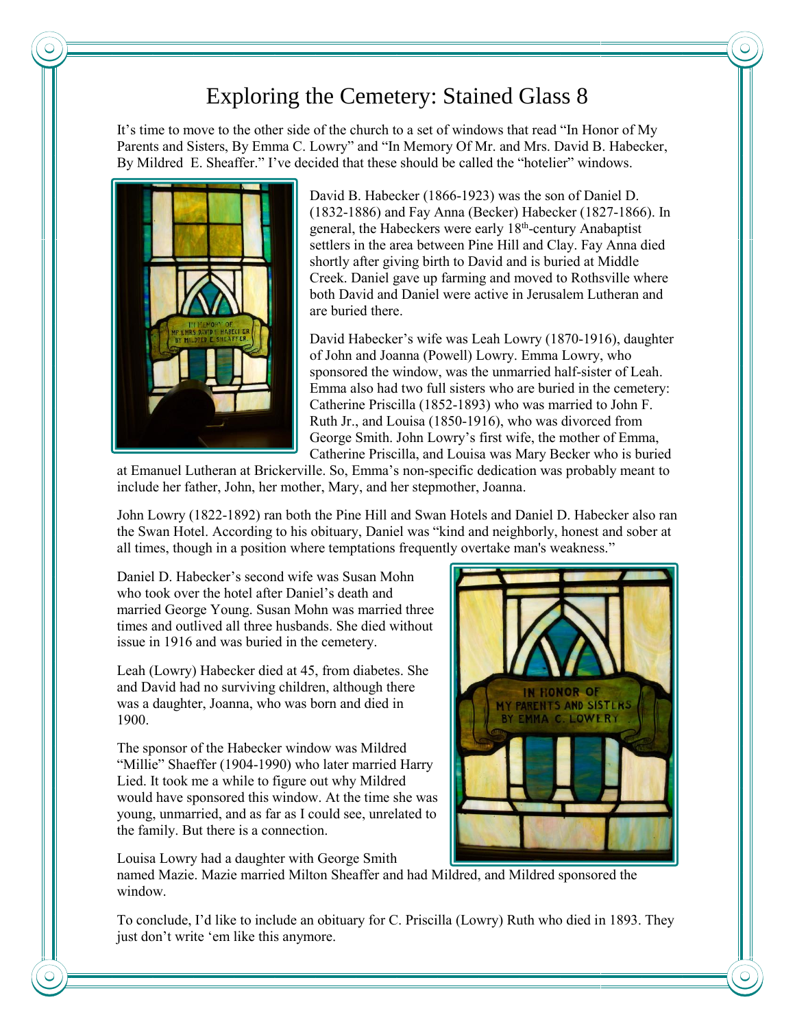## Exploring the Cemetery: Stained Glass 8

It's time to move to the other side of the church to a set of windows that read "In Honor of My Parents and Sisters, By Emma C. Lowry" and "In Memory Of Mr. and Mrs. David B. Habecker, By Mildred E. Sheaffer." I've decided that these should be called the "hotelier" windows.



David B. Habecker (1866-1923) was the son of Daniel D. (1832-1886) and Fay Anna (Becker) Habecker (1827-1866). In general, the Habeckers were early 18<sup>th</sup>-century Anabaptist settlers in the area between Pine Hill and Clay. Fay Anna died shortly after giving birth to David and is buried at Middle Creek. Daniel gave up farming and moved to Rothsville where both David and Daniel were active in Jerusalem Lutheran and are buried there.

David Habecker's wife was Leah Lowry (1870-1916), daughter of John and Joanna (Powell) Lowry. Emma Lowry, who sponsored the window, was the unmarried half-sister of Leah. Emma also had two full sisters who are buried in the cemetery: Catherine Priscilla (1852-1893) who was married to John F. Ruth Jr., and Louisa (1850-1916), who was divorced from George Smith. John Lowry's first wife, the mother of Emma, Catherine Priscilla, and Louisa was Mary Becker who is buried

at Emanuel Lutheran at Brickerville. So, Emma's non-specific dedication was probably meant to include her father, John, her mother, Mary, and her stepmother, Joanna.

John Lowry (1822-1892) ran both the Pine Hill and Swan Hotels and Daniel D. Habecker also ran the Swan Hotel. According to his obituary, Daniel was "kind and neighborly, honest and sober at all times, though in a position where temptations frequently overtake man's weakness."

Daniel D. Habecker's second wife was Susan Mohn who took over the hotel after Daniel's death and married George Young. Susan Mohn was married three times and outlived all three husbands. She died without issue in 1916 and was buried in the cemetery.

Leah (Lowry) Habecker died at 45, from diabetes. She and David had no surviving children, although there was a daughter, Joanna, who was born and died in 1900.

The sponsor of the Habecker window was Mildred "Millie" Shaeffer (1904-1990) who later married Harry Lied. It took me a while to figure out why Mildred would have sponsored this window. At the time she was young, unmarried, and as far as I could see, unrelated to the family. But there is a connection.

Louisa Lowry had a daughter with George Smith

named Mazie. Mazie married Milton Sheaffer and had Mildred, and Mildred sponsored the window.

To conclude, I'd like to include an obituary for C. Priscilla (Lowry) Ruth who died in 1893. They just don't write 'em like this anymore.